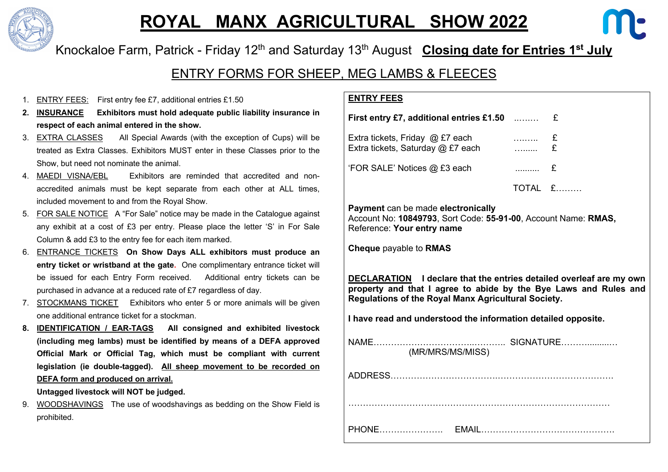

## **ROYAL MANX AGRICULTURAL SHOW 2022**



Knockaloe Farm, Patrick - Friday 12<sup>th</sup> and Saturday 13<sup>th</sup> August **Closing date for Entries 1<sup>st</sup> July** 

ENTRY FORMS FOR SHEEP, MEG LAMBS & FLEECES

- 1. **ENTRY FEES:** First entry fee £7, additional entries £1.50
- **2. INSURANCE Exhibitors must hold adequate public liability insurance in respect of each animal entered in the show.**
- 3. EXTRA CLASSES All Special Awards (with the exception of Cups) will be treated as Extra Classes. Exhibitors MUST enter in these Classes prior to the Show, but need not nominate the animal.
- 4. MAEDI VISNA/EBL Exhibitors are reminded that accredited and nonaccredited animals must be kept separate from each other at ALL times, included movement to and from the Royal Show.
- 5. FOR SALE NOTICE A "For Sale" notice may be made in the Catalogue against any exhibit at a cost of £3 per entry. Please place the letter 'S' in For Sale Column & add £3 to the entry fee for each item marked.
- 6. ENTRANCE TICKETS **On Show Days ALL exhibitors must produce an entry ticket or wristband at the gate.** One complimentary entrance ticket will be issued for each Entry Form received. Additional entry tickets can be purchased in advance at a reduced rate of £7 regardless of day.
- 7. STOCKMANS TICKET Exhibitors who enter 5 or more animals will be given one additional entrance ticket for a stockman.
- **8. IDENTIFICATION / EAR-TAGS All consigned and exhibited livestock (including meg lambs) must be identified by means of a DEFA approved Official Mark or Official Tag, which must be compliant with current legislation (ie double-tagged). All sheep movement to be recorded on DEFA form and produced on arrival.**

**Untagged livestock will NOT be judged.**

9. WOODSHAVINGS The use of woodshavings as bedding on the Show Field is prohibited.

## **ENTRY FEES**

| First entry £7, additional entries £1.50 $\,\,\,$                    |               |                    |
|----------------------------------------------------------------------|---------------|--------------------|
| Extra tickets, Friday @ £7 each<br>Extra tickets, Saturday @ £7 each | . E           |                    |
| 'FOR SALE' Notices @ £3 each                                         | 1.1.1.1.1.1.1 | $\mathbf{f}$       |
|                                                                      |               | TOTAI <del>f</del> |

**Payment** can be made **electronically** Account No: **10849793**, Sort Code: **55-91-00**, Account Name: **RMAS,** Reference: **Your entry name**

**Cheque** payable to **RMAS**

**DECLARATION I declare that the entries detailed overleaf are my own property and that I agree to abide by the Bye Laws and Rules and Regulations of the Royal Manx Agricultural Society.**

**I have read and understood the information detailed opposite.** 

| (MR/MRS/MS/MISS) |  |
|------------------|--|
|                  |  |
|                  |  |
|                  |  |
|                  |  |
|                  |  |